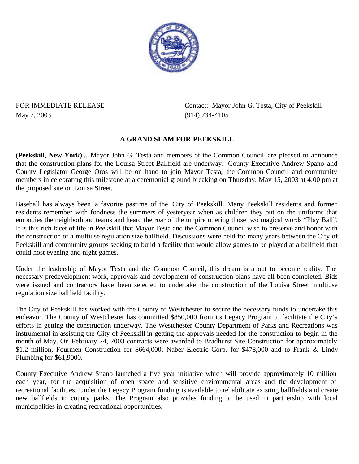

## May 7, 2003 (914) 734-4105

FOR IMMEDIATE RELEASE Contact: Mayor John G. Testa, City of Peekskill

## **A GRAND SLAM FOR PEEKSKILL**

**(Peekskill, New York)...** Mayor John G. Testa and members of the Common Council are pleased to announce that the construction plans for the Louisa Street Ballfield are underway. County Executive Andrew Spano and County Legislator George Oros will be on hand to join Mayor Testa, the Common Council and community members in celebrating this milestone at a ceremonial ground breaking on Thursday, May 15, 2003 at 4:00 pm at the proposed site on Louisa Street.

Baseball has always been a favorite pastime of the City of Peekskill. Many Peekskill residents and former residents remember with fondness the summers of yesteryear when as children they put on the uniforms that embodies the neighborhood teams and heard the roar of the umpire uttering those two magical words "Play Ball". It is this rich facet of life in Peekskill that Mayor Testa and the Common Council wish to preserve and honor with the construction of a multiuse regulation size ballfield. Discussions were held for many years between the City of Peekskill and community groups seeking to build a facility that would allow games to be played at a ballfield that could host evening and night games.

Under the leadership of Mayor Testa and the Common Council, this dream is about to become reality. The necessary predevelopment work, approvals and development of construction plans have all been completed. Bids were issued and contractors have been selected to undertake the construction of the Louisa Street multiuse regulation size ballfield facility.

The City of Peekskill has worked with the County of Westchester to secure the necessary funds to undertake this endeavor. The County of Westchester has committed \$850,000 from its Legacy Program to facilitate the City's efforts in getting the construction underway. The Westchester County Department of Parks and Recreations was instrumental in assisting the City of Peekskill in getting the approvals needed for the construction to begin in the month of May. On February 24, 2003 contracts were awarded to Bradhurst Site Construction for approximately \$1.2 million, Fourmen Construction for \$664,000; Naber Electric Corp. for \$478,000 and to Frank & Lindy Plumbing for \$61,9000.

County Executive Andrew Spano launched a five year initiative which will provide approximately 10 million each year, for the acquisition of open space and sensitive environmental areas and the development of recreational facilities. Under the Legacy Program funding is available to rehabilitate existing ballfields and create new ballfields in county parks. The Program also provides funding to be used in partnership with local municipalities in creating recreational opportunities.